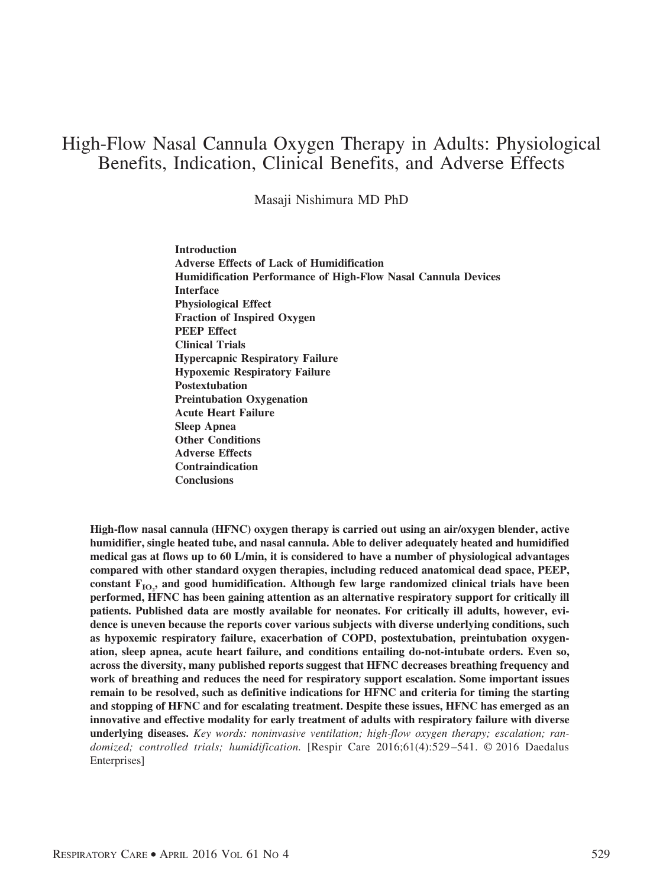# High-Flow Nasal Cannula Oxygen Therapy in Adults: Physiological Benefits, Indication, Clinical Benefits, and Adverse Effects

Masaji Nishimura MD PhD

**Introduction Adverse Effects of Lack of Humidification Humidification Performance of High-Flow Nasal Cannula Devices Interface Physiological Effect Fraction of Inspired Oxygen PEEP Effect Clinical Trials Hypercapnic Respiratory Failure Hypoxemic Respiratory Failure Postextubation Preintubation Oxygenation Acute Heart Failure Sleep Apnea Other Conditions Adverse Effects Contraindication Conclusions**

**High-flow nasal cannula (HFNC) oxygen therapy is carried out using an air/oxygen blender, active humidifier, single heated tube, and nasal cannula. Able to deliver adequately heated and humidified medical gas at flows up to 60 L/min, it is considered to have a number of physiological advantages compared with other standard oxygen therapies, including reduced anatomical dead space, PEEP,** constant  $\mathrm{F_{IO_2}}$  and good humidification. Although few large randomized clinical trials have been **performed, HFNC has been gaining attention as an alternative respiratory support for critically ill patients. Published data are mostly available for neonates. For critically ill adults, however, evidence is uneven because the reports cover various subjects with diverse underlying conditions, such as hypoxemic respiratory failure, exacerbation of COPD, postextubation, preintubation oxygenation, sleep apnea, acute heart failure, and conditions entailing do-not-intubate orders. Even so, across the diversity, many published reports suggest that HFNC decreases breathing frequency and work of breathing and reduces the need for respiratory support escalation. Some important issues remain to be resolved, such as definitive indications for HFNC and criteria for timing the starting and stopping of HFNC and for escalating treatment. Despite these issues, HFNC has emerged as an innovative and effective modality for early treatment of adults with respiratory failure with diverse underlying diseases.** *Key words: noninvasive ventilation; high-flow oxygen therapy; escalation; randomized; controlled trials; humidification.* [Respir Care 2016;61(4):529–541. © 2016 Daedalus Enterprises]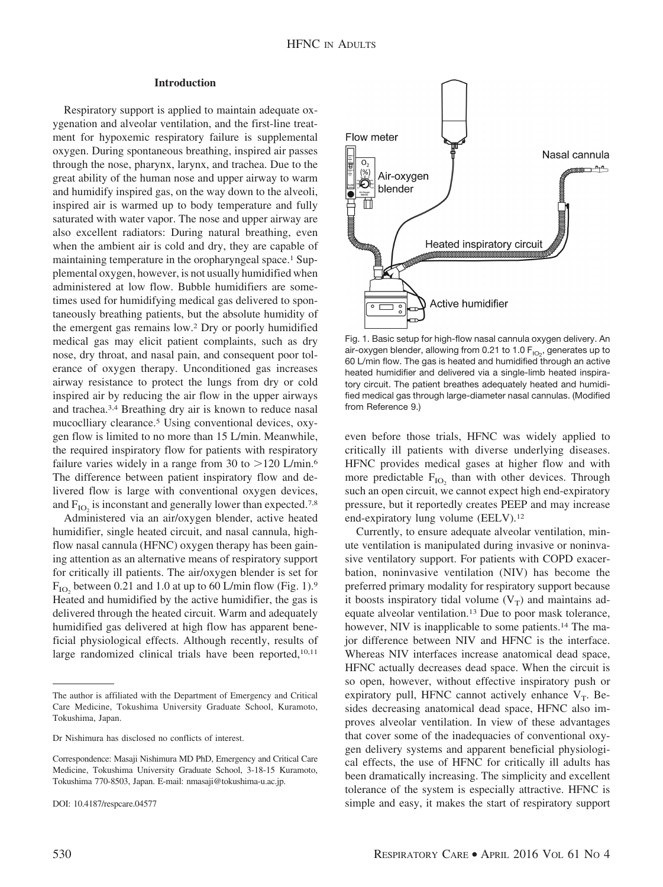# **Introduction**

Respiratory support is applied to maintain adequate oxygenation and alveolar ventilation, and the first-line treatment for hypoxemic respiratory failure is supplemental oxygen. During spontaneous breathing, inspired air passes through the nose, pharynx, larynx, and trachea. Due to the great ability of the human nose and upper airway to warm and humidify inspired gas, on the way down to the alveoli, inspired air is warmed up to body temperature and fully saturated with water vapor. The nose and upper airway are also excellent radiators: During natural breathing, even when the ambient air is cold and dry, they are capable of maintaining temperature in the oropharyngeal space.<sup>1</sup> Supplemental oxygen, however, is not usually humidified when administered at low flow. Bubble humidifiers are sometimes used for humidifying medical gas delivered to spontaneously breathing patients, but the absolute humidity of the emergent gas remains low.2 Dry or poorly humidified medical gas may elicit patient complaints, such as dry nose, dry throat, and nasal pain, and consequent poor tolerance of oxygen therapy. Unconditioned gas increases airway resistance to protect the lungs from dry or cold inspired air by reducing the air flow in the upper airways and trachea.3,4 Breathing dry air is known to reduce nasal mucoclliary clearance.5 Using conventional devices, oxygen flow is limited to no more than 15 L/min. Meanwhile, the required inspiratory flow for patients with respiratory failure varies widely in a range from 30 to  $>120$  L/min.<sup>6</sup> The difference between patient inspiratory flow and delivered flow is large with conventional oxygen devices, and  $F_{IO}$  is inconstant and generally lower than expected.<sup>7,8</sup>

Administered via an air/oxygen blender, active heated humidifier, single heated circuit, and nasal cannula, highflow nasal cannula (HFNC) oxygen therapy has been gaining attention as an alternative means of respiratory support for critically ill patients. The air/oxygen blender is set for  $F_{\text{IO}}$ , between 0.21 and 1.0 at up to 60 L/min flow (Fig. 1).<sup>9</sup> Heated and humidified by the active humidifier, the gas is delivered through the heated circuit. Warm and adequately humidified gas delivered at high flow has apparent beneficial physiological effects. Although recently, results of large randomized clinical trials have been reported,<sup>10,11</sup>

Correspondence: Masaji Nishimura MD PhD, Emergency and Critical Care Medicine, Tokushima University Graduate School, 3-18-15 Kuramoto, Tokushima 770-8503, Japan. E-mail: nmasaji@tokushima-u.ac.jp.





Fig. 1. Basic setup for high-flow nasal cannula oxygen delivery. An air-oxygen blender, allowing from 0.21 to 1.0  $\mathsf{F}_{\mathsf{IO}_2}$ , generates up to 60 L/min flow. The gas is heated and humidified through an active heated humidifier and delivered via a single-limb heated inspiratory circuit. The patient breathes adequately heated and humidified medical gas through large-diameter nasal cannulas. (Modified from Reference 9.)

even before those trials, HFNC was widely applied to critically ill patients with diverse underlying diseases. HFNC provides medical gases at higher flow and with more predictable  $F_{IO}$ , than with other devices. Through such an open circuit, we cannot expect high end-expiratory pressure, but it reportedly creates PEEP and may increase end-expiratory lung volume (EELV).12

Currently, to ensure adequate alveolar ventilation, minute ventilation is manipulated during invasive or noninvasive ventilatory support. For patients with COPD exacerbation, noninvasive ventilation (NIV) has become the preferred primary modality for respiratory support because it boosts inspiratory tidal volume  $(V_T)$  and maintains adequate alveolar ventilation.13 Due to poor mask tolerance, however, NIV is inapplicable to some patients.<sup>14</sup> The major difference between NIV and HFNC is the interface. Whereas NIV interfaces increase anatomical dead space, HFNC actually decreases dead space. When the circuit is so open, however, without effective inspiratory push or expiratory pull, HFNC cannot actively enhance  $V_T$ . Besides decreasing anatomical dead space, HFNC also improves alveolar ventilation. In view of these advantages that cover some of the inadequacies of conventional oxygen delivery systems and apparent beneficial physiological effects, the use of HFNC for critically ill adults has been dramatically increasing. The simplicity and excellent tolerance of the system is especially attractive. HFNC is simple and easy, it makes the start of respiratory support

The author is affiliated with the Department of Emergency and Critical Care Medicine, Tokushima University Graduate School, Kuramoto, Tokushima, Japan.

Dr Nishimura has disclosed no conflicts of interest.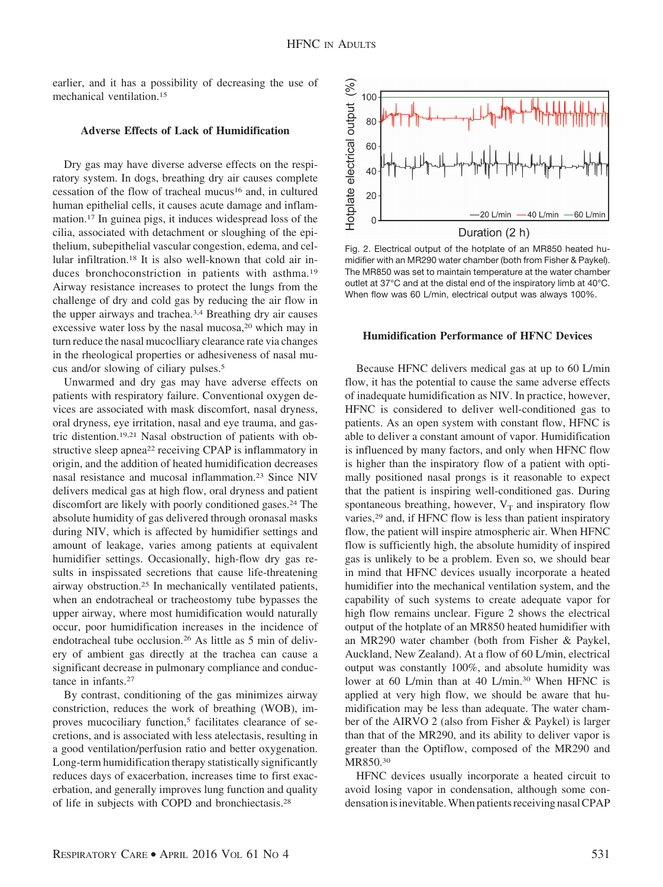earlier, and it has a possibility of decreasing the use of mechanical ventilation.15

# **Adverse Effects of Lack of Humidification**

Dry gas may have diverse adverse effects on the respiratory system. In dogs, breathing dry air causes complete cessation of the flow of tracheal mucus16 and, in cultured human epithelial cells, it causes acute damage and inflammation.17 In guinea pigs, it induces widespread loss of the cilia, associated with detachment or sloughing of the epithelium, subepithelial vascular congestion, edema, and cellular infiltration.18 It is also well-known that cold air induces bronchoconstriction in patients with asthma.<sup>19</sup> Airway resistance increases to protect the lungs from the challenge of dry and cold gas by reducing the air flow in the upper airways and trachea.3,4 Breathing dry air causes excessive water loss by the nasal mucosa,<sup>20</sup> which may in turn reduce the nasal mucoclliary clearance rate via changes in the rheological properties or adhesiveness of nasal mucus and/or slowing of ciliary pulses.5

Unwarmed and dry gas may have adverse effects on patients with respiratory failure. Conventional oxygen devices are associated with mask discomfort, nasal dryness, oral dryness, eye irritation, nasal and eye trauma, and gastric distention.19,21 Nasal obstruction of patients with obstructive sleep apnea<sup>22</sup> receiving CPAP is inflammatory in origin, and the addition of heated humidification decreases nasal resistance and mucosal inflammation.23 Since NIV delivers medical gas at high flow, oral dryness and patient discomfort are likely with poorly conditioned gases.<sup>24</sup> The absolute humidity of gas delivered through oronasal masks during NIV, which is affected by humidifier settings and amount of leakage, varies among patients at equivalent humidifier settings. Occasionally, high-flow dry gas results in inspissated secretions that cause life-threatening airway obstruction.25 In mechanically ventilated patients, when an endotracheal or tracheostomy tube bypasses the upper airway, where most humidification would naturally occur, poor humidification increases in the incidence of endotracheal tube occlusion.26 As little as 5 min of delivery of ambient gas directly at the trachea can cause a significant decrease in pulmonary compliance and conductance in infants.27

By contrast, conditioning of the gas minimizes airway constriction, reduces the work of breathing (WOB), improves mucociliary function,<sup>5</sup> facilitates clearance of secretions, and is associated with less atelectasis, resulting in a good ventilation/perfusion ratio and better oxygenation. Long-term humidification therapy statistically significantly reduces days of exacerbation, increases time to first exacerbation, and generally improves lung function and quality of life in subjects with COPD and bronchiectasis.28



Fig. 2. Electrical output of the hotplate of an MR850 heated humidifier with an MR290 water chamber (both from Fisher & Paykel). The MR850 was set to maintain temperature at the water chamber outlet at 37°C and at the distal end of the inspiratory limb at 40°C. When flow was 60 L/min, electrical output was always 100%.

# **Humidification Performance of HFNC Devices**

Because HFNC delivers medical gas at up to 60 L/min flow, it has the potential to cause the same adverse effects of inadequate humidification as NIV. In practice, however, HFNC is considered to deliver well-conditioned gas to patients. As an open system with constant flow, HFNC is able to deliver a constant amount of vapor. Humidification is influenced by many factors, and only when HFNC flow is higher than the inspiratory flow of a patient with optimally positioned nasal prongs is it reasonable to expect that the patient is inspiring well-conditioned gas. During spontaneous breathing, however,  $V_T$  and inspiratory flow varies,<sup>29</sup> and, if HFNC flow is less than patient inspiratory flow, the patient will inspire atmospheric air. When HFNC flow is sufficiently high, the absolute humidity of inspired gas is unlikely to be a problem. Even so, we should bear in mind that HFNC devices usually incorporate a heated humidifier into the mechanical ventilation system, and the capability of such systems to create adequate vapor for high flow remains unclear. Figure 2 shows the electrical output of the hotplate of an MR850 heated humidifier with an MR290 water chamber (both from Fisher & Paykel, Auckland, New Zealand). At a flow of 60 L/min, electrical output was constantly 100%, and absolute humidity was lower at 60 L/min than at 40 L/min.<sup>30</sup> When HFNC is applied at very high flow, we should be aware that humidification may be less than adequate. The water chamber of the AIRVO 2 (also from Fisher & Paykel) is larger than that of the MR290, and its ability to deliver vapor is greater than the Optiflow, composed of the MR290 and MR850.30

HFNC devices usually incorporate a heated circuit to avoid losing vapor in condensation, although some condensation is inevitable. When patients receiving nasal CPAP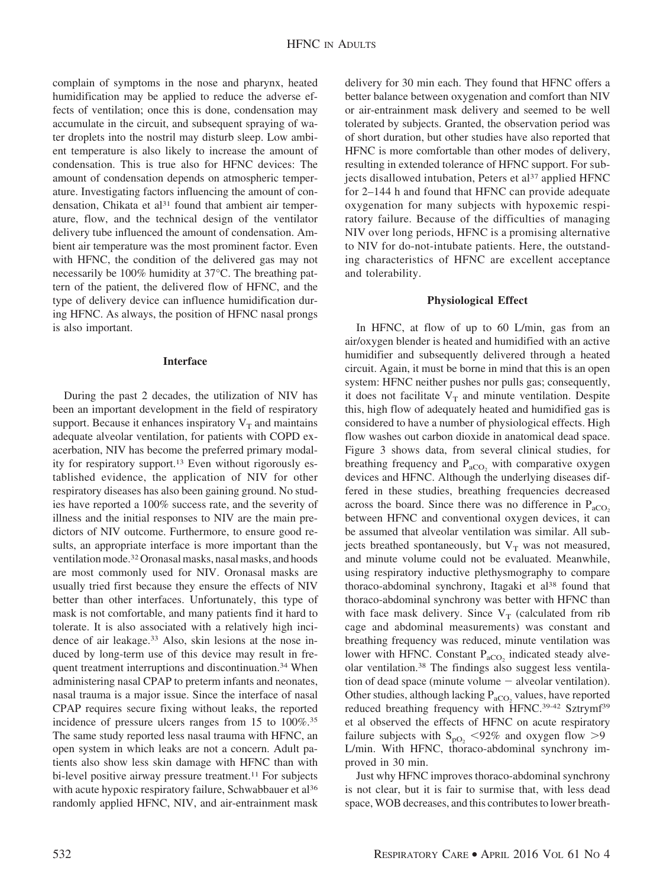complain of symptoms in the nose and pharynx, heated humidification may be applied to reduce the adverse effects of ventilation; once this is done, condensation may accumulate in the circuit, and subsequent spraying of water droplets into the nostril may disturb sleep. Low ambient temperature is also likely to increase the amount of condensation. This is true also for HFNC devices: The amount of condensation depends on atmospheric temperature. Investigating factors influencing the amount of condensation, Chikata et al<sup>31</sup> found that ambient air temperature, flow, and the technical design of the ventilator delivery tube influenced the amount of condensation. Ambient air temperature was the most prominent factor. Even with HFNC, the condition of the delivered gas may not necessarily be 100% humidity at 37°C. The breathing pattern of the patient, the delivered flow of HFNC, and the type of delivery device can influence humidification during HFNC. As always, the position of HFNC nasal prongs is also important.

# **Interface**

During the past 2 decades, the utilization of NIV has been an important development in the field of respiratory support. Because it enhances inspiratory  $V_T$  and maintains adequate alveolar ventilation, for patients with COPD exacerbation, NIV has become the preferred primary modality for respiratory support.13 Even without rigorously established evidence, the application of NIV for other respiratory diseases has also been gaining ground. No studies have reported a 100% success rate, and the severity of illness and the initial responses to NIV are the main predictors of NIV outcome. Furthermore, to ensure good results, an appropriate interface is more important than the ventilation mode.32Oronasal masks, nasal masks, and hoods are most commonly used for NIV. Oronasal masks are usually tried first because they ensure the effects of NIV better than other interfaces. Unfortunately, this type of mask is not comfortable, and many patients find it hard to tolerate. It is also associated with a relatively high incidence of air leakage.<sup>33</sup> Also, skin lesions at the nose induced by long-term use of this device may result in frequent treatment interruptions and discontinuation.34 When administering nasal CPAP to preterm infants and neonates, nasal trauma is a major issue. Since the interface of nasal CPAP requires secure fixing without leaks, the reported incidence of pressure ulcers ranges from 15 to 100%.35 The same study reported less nasal trauma with HFNC, an open system in which leaks are not a concern. Adult patients also show less skin damage with HFNC than with bi-level positive airway pressure treatment.<sup>11</sup> For subjects with acute hypoxic respiratory failure, Schwabbauer et al<sup>36</sup> randomly applied HFNC, NIV, and air-entrainment mask delivery for 30 min each. They found that HFNC offers a better balance between oxygenation and comfort than NIV or air-entrainment mask delivery and seemed to be well tolerated by subjects. Granted, the observation period was of short duration, but other studies have also reported that HFNC is more comfortable than other modes of delivery, resulting in extended tolerance of HFNC support. For subjects disallowed intubation, Peters et al<sup>37</sup> applied HFNC for 2–144 h and found that HFNC can provide adequate oxygenation for many subjects with hypoxemic respiratory failure. Because of the difficulties of managing NIV over long periods, HFNC is a promising alternative to NIV for do-not-intubate patients. Here, the outstanding characteristics of HFNC are excellent acceptance and tolerability.

## **Physiological Effect**

In HFNC, at flow of up to 60 L/min, gas from an air/oxygen blender is heated and humidified with an active humidifier and subsequently delivered through a heated circuit. Again, it must be borne in mind that this is an open system: HFNC neither pushes nor pulls gas; consequently, it does not facilitate  $V_T$  and minute ventilation. Despite this, high flow of adequately heated and humidified gas is considered to have a number of physiological effects. High flow washes out carbon dioxide in anatomical dead space. Figure 3 shows data, from several clinical studies, for breathing frequency and  $P_{aCO_2}$  with comparative oxygen devices and HFNC. Although the underlying diseases differed in these studies, breathing frequencies decreased across the board. Since there was no difference in  $P_{aCO_2}$ between HFNC and conventional oxygen devices, it can be assumed that alveolar ventilation was similar. All subjects breathed spontaneously, but  $V_T$  was not measured, and minute volume could not be evaluated. Meanwhile, using respiratory inductive plethysmography to compare thoraco-abdominal synchrony, Itagaki et al<sup>38</sup> found that thoraco-abdominal synchrony was better with HFNC than with face mask delivery. Since  $V_T$  (calculated from rib cage and abdominal measurements) was constant and breathing frequency was reduced, minute ventilation was lower with HFNC. Constant  $P_{aCO_2}$  indicated steady alveolar ventilation.38 The findings also suggest less ventilation of dead space (minute volume  $-$  alveolar ventilation). Other studies, although lacking  $P_{aCO_2}$  values, have reported reduced breathing frequency with HFNC.39-42 Sztrymf39 et al observed the effects of HFNC on acute respiratory failure subjects with  $S_{pQ_2}$  <92% and oxygen flow >9 L/min. With HFNC, thoraco-abdominal synchrony improved in 30 min.

Just why HFNC improves thoraco-abdominal synchrony is not clear, but it is fair to surmise that, with less dead space, WOB decreases, and this contributes to lower breath-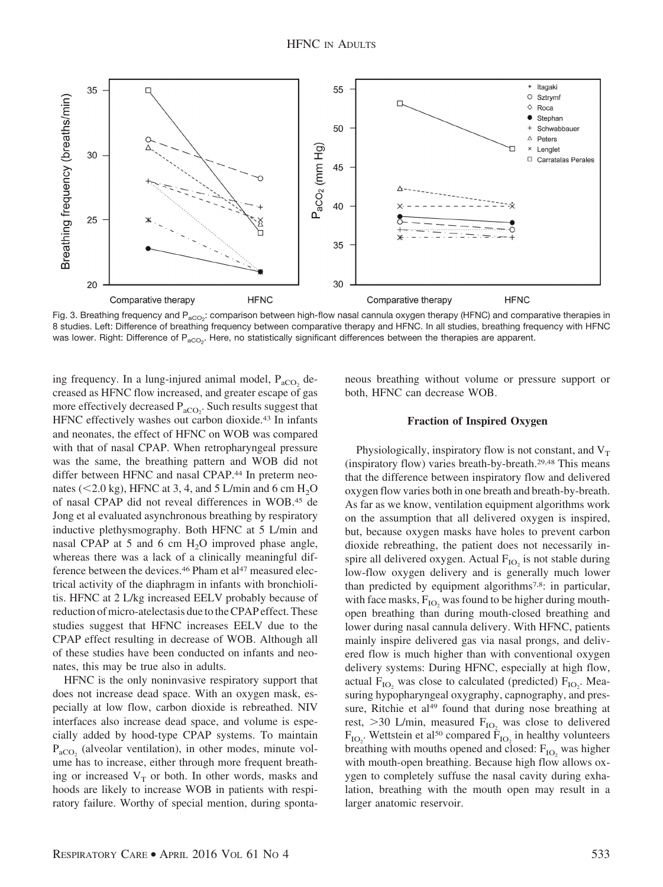

Fig. 3. Breathing frequency and P<sub>aCO2</sub>: comparison between high-flow nasal cannula oxygen therapy (HFNC) and comparative therapies in 8 studies. Left: Difference of breathing frequency between comparative therapy and HFNC. In all studies, breathing frequency with HFNC was lower. Right: Difference of P<sub>aCO2</sub>. Here, no statistically significant differences between the therapies are apparent.

ing frequency. In a lung-injured animal model,  $P_{aCO_2}$  decreased as HFNC flow increased, and greater escape of gas more effectively decreased  $P_{aCO_2}$ . Such results suggest that HFNC effectively washes out carbon dioxide.<sup>43</sup> In infants and neonates, the effect of HFNC on WOB was compared with that of nasal CPAP. When retropharyngeal pressure was the same, the breathing pattern and WOB did not differ between HFNC and nasal CPAP.<sup>44</sup> In preterm neonates ( $\leq$ 2.0 kg), HFNC at 3, 4, and 5 L/min and 6 cm H<sub>2</sub>O of nasal CPAP did not reveal differences in WOB.45 de Jong et al evaluated asynchronous breathing by respiratory inductive plethysmography. Both HFNC at 5 L/min and nasal CPAP at 5 and 6 cm  $H_2O$  improved phase angle, whereas there was a lack of a clinically meaningful difference between the devices.<sup>46</sup> Pham et al<sup>47</sup> measured electrical activity of the diaphragm in infants with bronchiolitis. HFNC at 2 L/kg increased EELV probably because of reduction of micro-atelectasis due to the CPAP effect. These studies suggest that HFNC increases EELV due to the CPAP effect resulting in decrease of WOB. Although all of these studies have been conducted on infants and neonates, this may be true also in adults.

HFNC is the only noninvasive respiratory support that does not increase dead space. With an oxygen mask, especially at low flow, carbon dioxide is rebreathed. NIV interfaces also increase dead space, and volume is especially added by hood-type CPAP systems. To maintain  $P_{aCO_2}$  (alveolar ventilation), in other modes, minute volume has to increase, either through more frequent breathing or increased  $V_T$  or both. In other words, masks and hoods are likely to increase WOB in patients with respiratory failure. Worthy of special mention, during spontaneous breathing without volume or pressure support or both, HFNC can decrease WOB.

# **Fraction of Inspired Oxygen**

Physiologically, inspiratory flow is not constant, and  $V_T$ (inspiratory flow) varies breath-by-breath.29,48 This means that the difference between inspiratory flow and delivered oxygen flow varies both in one breath and breath-by-breath. As far as we know, ventilation equipment algorithms work on the assumption that all delivered oxygen is inspired, but, because oxygen masks have holes to prevent carbon dioxide rebreathing, the patient does not necessarily inspire all delivered oxygen. Actual  $F_{IO}$  is not stable during low-flow oxygen delivery and is generally much lower than predicted by equipment algorithms<sup>7,8</sup>: in particular, with face masks,  $F_{IO}$ , was found to be higher during mouthopen breathing than during mouth-closed breathing and lower during nasal cannula delivery. With HFNC, patients mainly inspire delivered gas via nasal prongs, and delivered flow is much higher than with conventional oxygen delivery systems: During HFNC, especially at high flow, actual  $F_{IO_2}$  was close to calculated (predicted)  $F_{IO_2}$ . Measuring hypopharyngeal oxygraphy, capnography, and pressure, Ritchie et al<sup>49</sup> found that during nose breathing at rest,  $>$  30 L/min, measured  $F_{IO_2}$  was close to delivered  $F_{IO_2}$ . Wettstein et al<sup>50</sup> compared  $F_{IO_2}$  in healthy volunteers breathing with mouths opened and closed:  $F_{IO}$  was higher with mouth-open breathing. Because high flow allows oxygen to completely suffuse the nasal cavity during exhalation, breathing with the mouth open may result in a larger anatomic reservoir.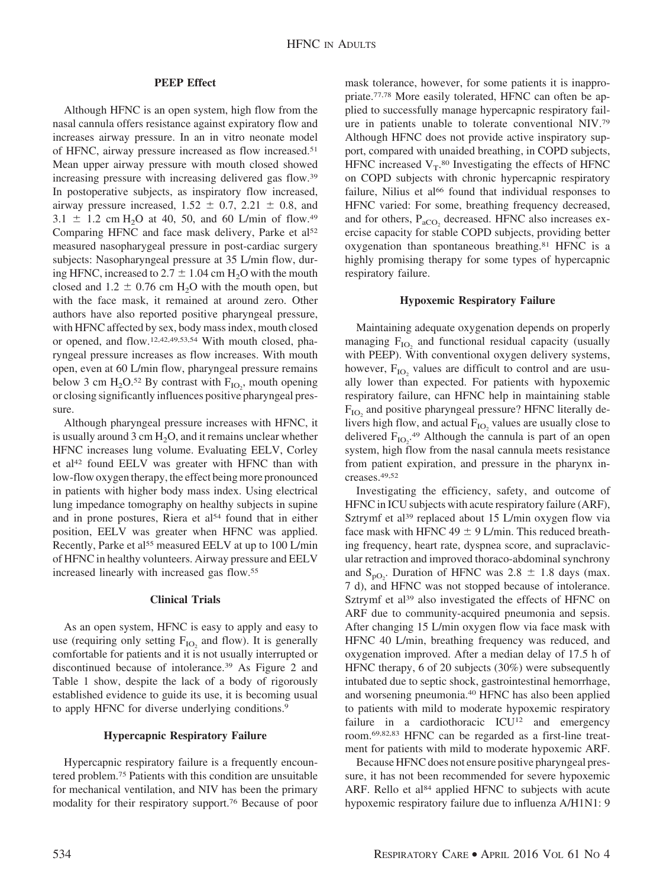# **PEEP Effect**

Although HFNC is an open system, high flow from the nasal cannula offers resistance against expiratory flow and increases airway pressure. In an in vitro neonate model of HFNC, airway pressure increased as flow increased.51 Mean upper airway pressure with mouth closed showed increasing pressure with increasing delivered gas flow.39 In postoperative subjects, as inspiratory flow increased, airway pressure increased,  $1.52 \pm 0.7$ ,  $2.21 \pm 0.8$ , and 3.1  $\pm$  1.2 cm H<sub>2</sub>O at 40, 50, and 60 L/min of flow.<sup>49</sup> Comparing HFNC and face mask delivery, Parke et al<sup>52</sup> measured nasopharygeal pressure in post-cardiac surgery subjects: Nasopharyngeal pressure at 35 L/min flow, during HFNC, increased to  $2.7 \pm 1.04$  cm H<sub>2</sub>O with the mouth closed and  $1.2 \pm 0.76$  cm H<sub>2</sub>O with the mouth open, but with the face mask, it remained at around zero. Other authors have also reported positive pharyngeal pressure, with HFNC affected by sex, body mass index, mouth closed or opened, and flow.12,42,49,53,54 With mouth closed, pharyngeal pressure increases as flow increases. With mouth open, even at 60 L/min flow, pharyngeal pressure remains below 3 cm  $H_2O^{52}$  By contrast with  $F_{IO_2}$ , mouth opening or closing significantly influences positive pharyngeal pressure.

Although pharyngeal pressure increases with HFNC, it is usually around 3 cm  $H<sub>2</sub>O$ , and it remains unclear whether HFNC increases lung volume. Evaluating EELV, Corley et al<sup>42</sup> found EELV was greater with HFNC than with low-flow oxygen therapy, the effect being more pronounced in patients with higher body mass index. Using electrical lung impedance tomography on healthy subjects in supine and in prone postures, Riera et al<sup>54</sup> found that in either position, EELV was greater when HFNC was applied. Recently, Parke et al<sup>55</sup> measured EELV at up to 100 L/min of HFNC in healthy volunteers. Airway pressure and EELV increased linearly with increased gas flow.55

## **Clinical Trials**

As an open system, HFNC is easy to apply and easy to use (requiring only setting  $F_{IO}$ , and flow). It is generally comfortable for patients and it is not usually interrupted or discontinued because of intolerance.39 As Figure 2 and Table 1 show, despite the lack of a body of rigorously established evidence to guide its use, it is becoming usual to apply HFNC for diverse underlying conditions.<sup>9</sup>

## **Hypercapnic Respiratory Failure**

Hypercapnic respiratory failure is a frequently encountered problem.75 Patients with this condition are unsuitable for mechanical ventilation, and NIV has been the primary modality for their respiratory support.76 Because of poor mask tolerance, however, for some patients it is inappropriate.77,78 More easily tolerated, HFNC can often be applied to successfully manage hypercapnic respiratory failure in patients unable to tolerate conventional NIV.79 Although HFNC does not provide active inspiratory support, compared with unaided breathing, in COPD subjects, HFNC increased  $V_T$ .<sup>80</sup> Investigating the effects of HFNC on COPD subjects with chronic hypercapnic respiratory failure, Nilius et al<sup>66</sup> found that individual responses to HFNC varied: For some, breathing frequency decreased, and for others,  $P_{aCO_2}$  decreased. HFNC also increases exercise capacity for stable COPD subjects, providing better oxygenation than spontaneous breathing.81 HFNC is a highly promising therapy for some types of hypercapnic respiratory failure.

# **Hypoxemic Respiratory Failure**

Maintaining adequate oxygenation depends on properly managing  $F_{IO}$  and functional residual capacity (usually with PEEP). With conventional oxygen delivery systems, however,  $F_{IO}$ , values are difficult to control and are usually lower than expected. For patients with hypoxemic respiratory failure, can HFNC help in maintaining stable  $F_{IO}$  and positive pharyngeal pressure? HFNC literally delivers high flow, and actual  $F_{IO}$ , values are usually close to delivered  $F_{IO_2}$ <sup>49</sup> Although the cannula is part of an open system, high flow from the nasal cannula meets resistance from patient expiration, and pressure in the pharynx increases.49,52

Investigating the efficiency, safety, and outcome of HFNC in ICU subjects with acute respiratory failure (ARF), Sztrymf et al<sup>39</sup> replaced about 15 L/min oxygen flow via face mask with HFNC 49  $\pm$  9 L/min. This reduced breathing frequency, heart rate, dyspnea score, and supraclavicular retraction and improved thoraco-abdominal synchrony and  $S_{pQ_2}$ . Duration of HFNC was 2.8  $\pm$  1.8 days (max. 7 d), and HFNC was not stopped because of intolerance. Sztrymf et al<sup>39</sup> also investigated the effects of HFNC on ARF due to community-acquired pneumonia and sepsis. After changing 15 L/min oxygen flow via face mask with HFNC 40 L/min, breathing frequency was reduced, and oxygenation improved. After a median delay of 17.5 h of HFNC therapy, 6 of 20 subjects (30%) were subsequently intubated due to septic shock, gastrointestinal hemorrhage, and worsening pneumonia.40 HFNC has also been applied to patients with mild to moderate hypoxemic respiratory failure in a cardiothoracic ICU<sup>12</sup> and emergency room.69,82,83 HFNC can be regarded as a first-line treatment for patients with mild to moderate hypoxemic ARF.

Because HFNC does not ensure positive pharyngeal pressure, it has not been recommended for severe hypoxemic ARF. Rello et al<sup>84</sup> applied HFNC to subjects with acute hypoxemic respiratory failure due to influenza A/H1N1: 9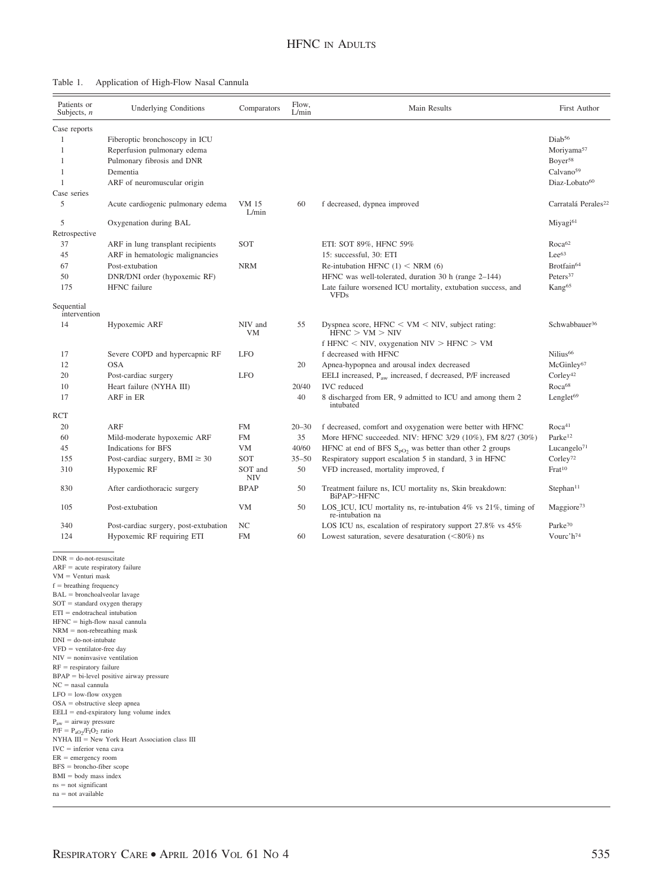#### Table 1. Application of High-Flow Nasal Cannula

| Patients or<br>Subjects, $n$ | <b>Underlying Conditions</b>          | Comparators    | Flow,<br>L/min | Main Results                                                                           | First Author                    |
|------------------------------|---------------------------------------|----------------|----------------|----------------------------------------------------------------------------------------|---------------------------------|
| Case reports                 |                                       |                |                |                                                                                        |                                 |
| 1                            | Fiberoptic bronchoscopy in ICU        |                |                |                                                                                        | Diab <sup>56</sup>              |
| 1                            | Reperfusion pulmonary edema           |                |                |                                                                                        | Moriyama <sup>57</sup>          |
| 1                            | Pulmonary fibrosis and DNR            |                |                |                                                                                        | Boyer <sup>58</sup>             |
| 1                            | Dementia                              |                |                |                                                                                        | Calvano <sup>59</sup>           |
| $\mathbf{1}$                 | ARF of neuromuscular origin           |                |                |                                                                                        | Diaz-Lobato <sup>60</sup>       |
| Case series                  |                                       |                |                |                                                                                        |                                 |
| 5                            | Acute cardiogenic pulmonary edema     | VM 15<br>L/min | 60             | f decreased, dypnea improved                                                           | Carratalá Perales <sup>22</sup> |
| 5                            | Oxygenation during BAL                |                |                |                                                                                        | Miyagi <sup>61</sup>            |
| Retrospective                |                                       |                |                |                                                                                        |                                 |
| 37                           | ARF in lung transplant recipients     | SOT            |                | ETI: SOT 89%, HFNC 59%                                                                 | Roca <sup>62</sup>              |
| 45                           | ARF in hematologic malignancies       |                |                | 15: successful, 30: ETI                                                                | $Lee^{63}$                      |
| 67                           | Post-extubation                       | <b>NRM</b>     |                | Re-intubation HFNC $(1)$ < NRM $(6)$                                                   | Brotfain <sup>64</sup>          |
| 50                           | DNR/DNI order (hypoxemic RF)          |                |                | HFNC was well-tolerated, duration 30 h (range 2-144)                                   | Peters <sup>37</sup>            |
| 175                          | <b>HFNC</b> failure                   |                |                | Late failure worsened ICU mortality, extubation success, and<br><b>VFDs</b>            | Kang <sup>65</sup>              |
| Sequential<br>intervention   |                                       |                |                |                                                                                        |                                 |
| 14                           | Hypoxemic ARF                         | NIV and<br>VM  | 55             | Dyspnea score, $HFNC \le VM \le NIV$ , subject rating:<br>HFNC > VM > NIV              | Schwabbauer <sup>36</sup>       |
|                              |                                       |                |                | f HFNC < NIV, oxygenation $NIV > HFNC > VM$                                            |                                 |
| 17                           | Severe COPD and hypercapnic RF        | <b>LFO</b>     |                | f decreased with HFNC                                                                  | Nilius <sup>66</sup>            |
| 12                           | <b>OSA</b>                            |                | 20             | Apnea-hypopnea and arousal index decreased                                             | McGinley <sup>67</sup>          |
| 20                           | Post-cardiac surgery                  | <b>LFO</b>     |                | EELI increased, P <sub>aw</sub> increased, f decreased, P/F increased                  | Corley <sup>42</sup>            |
| 10                           | Heart failure (NYHA III)              |                | 20/40          | <b>IVC</b> reduced                                                                     | Roca <sup>68</sup>              |
| 17                           | ARF in ER                             |                | 40             | 8 discharged from ER, 9 admitted to ICU and among them 2<br>intubated                  | Lenglet <sup>69</sup>           |
| RCT                          |                                       |                |                |                                                                                        |                                 |
| 20                           | <b>ARF</b>                            | <b>FM</b>      | $20 - 30$      | f decreased, comfort and oxygenation were better with HFNC                             | Roca <sup>41</sup>              |
| 60                           | Mild-moderate hypoxemic ARF           | <b>FM</b>      | 35             | More HFNC succeeded. NIV: HFNC 3/29 (10%), FM 8/27 (30%)                               | Parke <sup>12</sup>             |
| 45                           | Indications for BFS                   | <b>VM</b>      | 40/60          | HFNC at end of BFS $S_{pO_2}$ was better than other 2 groups                           | Lucangelo $71$                  |
| 155                          | Post-cardiac surgery, $BMI \geq 30$   | SOT            | $35 - 50$      | Respiratory support escalation 5 in standard, 3 in HFNC                                | Corley <sup>72</sup>            |
| 310                          | Hypoxemic RF                          | SOT and<br>NIV | 50             | VFD increased, mortality improved, f                                                   | Frat <sup>10</sup>              |
| 830                          | After cardiothoracic surgery          | <b>BPAP</b>    | 50             | Treatment failure ns, ICU mortality ns, Skin breakdown:<br>BiPAP>HFNC                  | Stephan <sup>11</sup>           |
| 105                          | Post-extubation                       | <b>VM</b>      | 50             | $LOS_{ICU}$ , ICU mortality ns, re-intubation 4% vs 21%, timing of<br>re-intubation na | Maggiore <sup>73</sup>          |
| 340                          | Post-cardiac surgery, post-extubation | NC             |                | LOS ICU ns, escalation of respiratory support 27.8% vs 45%                             | Parke <sup>70</sup>             |
| 124                          | Hypoxemic RF requiring ETI            | <b>FM</b>      | 60             | Lowest saturation, severe desaturation $(<80\%)$ ns                                    | Vourc'h <sup>74</sup>           |
| $PAND = 1, 2, 3$             |                                       |                |                |                                                                                        |                                 |

 $DNR =$ do-not-resuscitate

 $ARF = acute$  respiratory failure

 $VM = Venturi$  mask  $f =$  breathing frequency

 $BAL = bronchoalveolar\;lavage$  $SOT = standard oxygen therapy$  $ETI = endotracheal intubation$  $HFNC = high-flow$  nasal cannula  $NRM =$  non-rebreathing mask  $DNI =$  do-not-intubate  $VFD$  = ventilator-free day  $NIV =$  noninvasive ventilation  $RF =$  respiratory failure  $BPAP = bi-level positive airway pressure$  $NC =$  nasal cannula  $LFO =$  low-flow oxygen OSA = obstructive sleep apnea  $EELI = end-expiratory lung volume index$  $P_{aw} =$  airway pressure  $P/F = P_{aO2}/F_1O_2$  ratio NYHA  $III =$  New York Heart Association class III  $IVC =$  inferior vena cava

ER emergency room BFS broncho-fiber scope

 $BMI = body$  mass index

 $\mathrm{ns}=\mathrm{not}$  significant  $na = not available$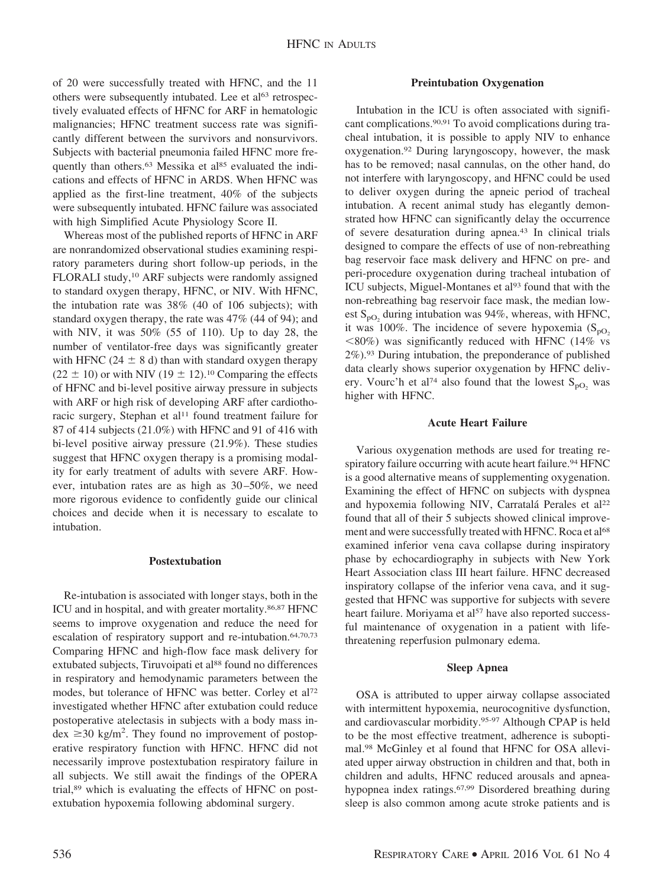of 20 were successfully treated with HFNC, and the 11 others were subsequently intubated. Lee et al<sup>63</sup> retrospectively evaluated effects of HFNC for ARF in hematologic malignancies; HFNC treatment success rate was significantly different between the survivors and nonsurvivors. Subjects with bacterial pneumonia failed HFNC more frequently than others.<sup>63</sup> Messika et al<sup>85</sup> evaluated the indications and effects of HFNC in ARDS. When HFNC was applied as the first-line treatment, 40% of the subjects were subsequently intubated. HFNC failure was associated with high Simplified Acute Physiology Score II.

Whereas most of the published reports of HFNC in ARF are nonrandomized observational studies examining respiratory parameters during short follow-up periods, in the FLORALI study,10 ARF subjects were randomly assigned to standard oxygen therapy, HFNC, or NIV. With HFNC, the intubation rate was 38% (40 of 106 subjects); with standard oxygen therapy, the rate was 47% (44 of 94); and with NIV, it was 50% (55 of 110). Up to day 28, the number of ventilator-free days was significantly greater with HFNC (24  $\pm$  8 d) than with standard oxygen therapy  $(22 \pm 10)$  or with NIV  $(19 \pm 12)$ .<sup>10</sup> Comparing the effects of HFNC and bi-level positive airway pressure in subjects with ARF or high risk of developing ARF after cardiothoracic surgery, Stephan et al<sup>11</sup> found treatment failure for 87 of 414 subjects (21.0%) with HFNC and 91 of 416 with bi-level positive airway pressure (21.9%). These studies suggest that HFNC oxygen therapy is a promising modality for early treatment of adults with severe ARF. However, intubation rates are as high as 30–50%, we need more rigorous evidence to confidently guide our clinical choices and decide when it is necessary to escalate to intubation.

## **Postextubation**

Re-intubation is associated with longer stays, both in the ICU and in hospital, and with greater mortality.86,87 HFNC seems to improve oxygenation and reduce the need for escalation of respiratory support and re-intubation.<sup>64,70,73</sup> Comparing HFNC and high-flow face mask delivery for extubated subjects, Tiruvoipati et al88 found no differences in respiratory and hemodynamic parameters between the modes, but tolerance of HFNC was better. Corley et al72 investigated whether HFNC after extubation could reduce postoperative atelectasis in subjects with a body mass in- $\text{dex} \geq 30 \text{ kg/m}^2$ . They found no improvement of postoperative respiratory function with HFNC. HFNC did not necessarily improve postextubation respiratory failure in all subjects. We still await the findings of the OPERA trial,89 which is evaluating the effects of HFNC on postextubation hypoxemia following abdominal surgery.

#### **Preintubation Oxygenation**

Intubation in the ICU is often associated with significant complications.90,91 To avoid complications during tracheal intubation, it is possible to apply NIV to enhance oxygenation.92 During laryngoscopy, however, the mask has to be removed; nasal cannulas, on the other hand, do not interfere with laryngoscopy, and HFNC could be used to deliver oxygen during the apneic period of tracheal intubation. A recent animal study has elegantly demonstrated how HFNC can significantly delay the occurrence of severe desaturation during apnea.43 In clinical trials designed to compare the effects of use of non-rebreathing bag reservoir face mask delivery and HFNC on pre- and peri-procedure oxygenation during tracheal intubation of ICU subjects, Miguel-Montanes et al<sup>93</sup> found that with the non-rebreathing bag reservoir face mask, the median lowest  $S_{pQ_2}$  during intubation was 94%, whereas, with HFNC, it was 100%. The incidence of severe hypoxemia  $(S_{pQ_2})$  $<80\%$ ) was significantly reduced with HFNC (14% vs 2%).93 During intubation, the preponderance of published data clearly shows superior oxygenation by HFNC delivery. Vourc'h et al<sup>74</sup> also found that the lowest  $S_{pQ}$  was higher with HFNC.

# **Acute Heart Failure**

Various oxygenation methods are used for treating respiratory failure occurring with acute heart failure.<sup>94</sup> HFNC is a good alternative means of supplementing oxygenation. Examining the effect of HFNC on subjects with dyspnea and hypoxemia following NIV, Carratalá Perales et al<sup>22</sup> found that all of their 5 subjects showed clinical improvement and were successfully treated with HFNC. Roca et al<sup>68</sup> examined inferior vena cava collapse during inspiratory phase by echocardiography in subjects with New York Heart Association class III heart failure. HFNC decreased inspiratory collapse of the inferior vena cava, and it suggested that HFNC was supportive for subjects with severe heart failure. Moriyama et al<sup>57</sup> have also reported successful maintenance of oxygenation in a patient with lifethreatening reperfusion pulmonary edema.

#### **Sleep Apnea**

OSA is attributed to upper airway collapse associated with intermittent hypoxemia, neurocognitive dysfunction, and cardiovascular morbidity.95-97 Although CPAP is held to be the most effective treatment, adherence is suboptimal.98 McGinley et al found that HFNC for OSA alleviated upper airway obstruction in children and that, both in children and adults, HFNC reduced arousals and apneahypopnea index ratings.67,99 Disordered breathing during sleep is also common among acute stroke patients and is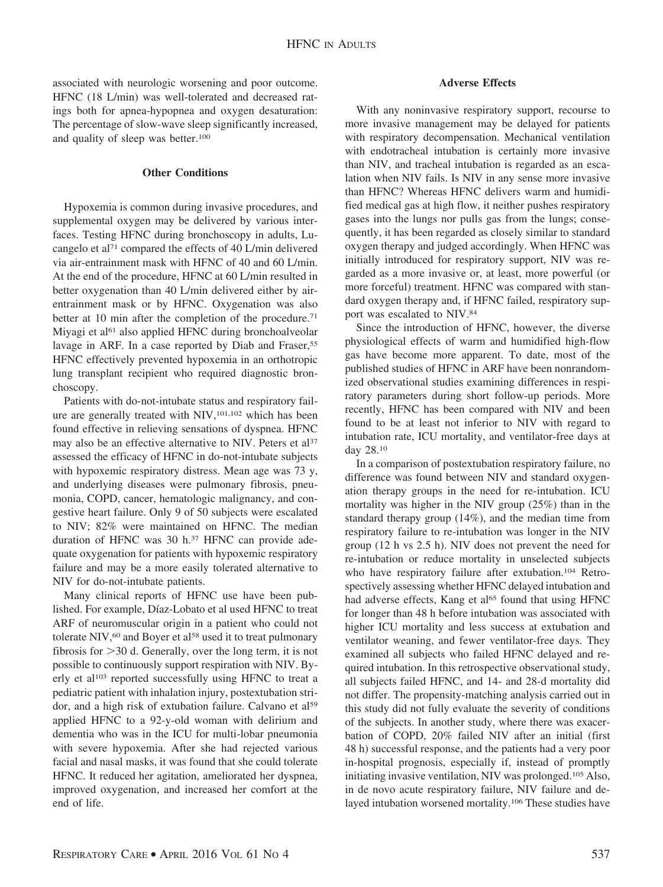associated with neurologic worsening and poor outcome. HFNC (18 L/min) was well-tolerated and decreased ratings both for apnea-hypopnea and oxygen desaturation: The percentage of slow-wave sleep significantly increased, and quality of sleep was better.100

# **Other Conditions**

Hypoxemia is common during invasive procedures, and supplemental oxygen may be delivered by various interfaces. Testing HFNC during bronchoscopy in adults, Lucangelo et al71 compared the effects of 40 L/min delivered via air-entrainment mask with HFNC of 40 and 60 L/min. At the end of the procedure, HFNC at 60 L/min resulted in better oxygenation than 40 L/min delivered either by airentrainment mask or by HFNC. Oxygenation was also better at 10 min after the completion of the procedure.<sup>71</sup> Miyagi et al<sup>61</sup> also applied HFNC during bronchoalveolar lavage in ARF. In a case reported by Diab and Fraser,<sup>55</sup> HFNC effectively prevented hypoxemia in an orthotropic lung transplant recipient who required diagnostic bronchoscopy.

Patients with do-not-intubate status and respiratory failure are generally treated with NIV,101,102 which has been found effective in relieving sensations of dyspnea. HFNC may also be an effective alternative to NIV. Peters et al<sup>37</sup> assessed the efficacy of HFNC in do-not-intubate subjects with hypoxemic respiratory distress. Mean age was 73 y, and underlying diseases were pulmonary fibrosis, pneumonia, COPD, cancer, hematologic malignancy, and congestive heart failure. Only 9 of 50 subjects were escalated to NIV; 82% were maintained on HFNC. The median duration of HFNC was 30 h.<sup>37</sup> HFNC can provide adequate oxygenation for patients with hypoxemic respiratory failure and may be a more easily tolerated alternative to NIV for do-not-intubate patients.

Many clinical reports of HFNC use have been published. For example, Díaz-Lobato et al used HFNC to treat ARF of neuromuscular origin in a patient who could not tolerate NIV,<sup>60</sup> and Boyer et al<sup>58</sup> used it to treat pulmonary fibrosis for  $>$  30 d. Generally, over the long term, it is not possible to continuously support respiration with NIV. Byerly et al<sup>103</sup> reported successfully using HFNC to treat a pediatric patient with inhalation injury, postextubation stridor, and a high risk of extubation failure. Calvano et al<sup>59</sup> applied HFNC to a 92-y-old woman with delirium and dementia who was in the ICU for multi-lobar pneumonia with severe hypoxemia. After she had rejected various facial and nasal masks, it was found that she could tolerate HFNC. It reduced her agitation, ameliorated her dyspnea, improved oxygenation, and increased her comfort at the end of life.

# **Adverse Effects**

With any noninvasive respiratory support, recourse to more invasive management may be delayed for patients with respiratory decompensation. Mechanical ventilation with endotracheal intubation is certainly more invasive than NIV, and tracheal intubation is regarded as an escalation when NIV fails. Is NIV in any sense more invasive than HFNC? Whereas HFNC delivers warm and humidified medical gas at high flow, it neither pushes respiratory gases into the lungs nor pulls gas from the lungs; consequently, it has been regarded as closely similar to standard oxygen therapy and judged accordingly. When HFNC was initially introduced for respiratory support, NIV was regarded as a more invasive or, at least, more powerful (or more forceful) treatment. HFNC was compared with standard oxygen therapy and, if HFNC failed, respiratory support was escalated to NIV.84

Since the introduction of HFNC, however, the diverse physiological effects of warm and humidified high-flow gas have become more apparent. To date, most of the published studies of HFNC in ARF have been nonrandomized observational studies examining differences in respiratory parameters during short follow-up periods. More recently, HFNC has been compared with NIV and been found to be at least not inferior to NIV with regard to intubation rate, ICU mortality, and ventilator-free days at day 28.10

In a comparison of postextubation respiratory failure, no difference was found between NIV and standard oxygenation therapy groups in the need for re-intubation. ICU mortality was higher in the NIV group (25%) than in the standard therapy group (14%), and the median time from respiratory failure to re-intubation was longer in the NIV group (12 h vs 2.5 h). NIV does not prevent the need for re-intubation or reduce mortality in unselected subjects who have respiratory failure after extubation.<sup>104</sup> Retrospectively assessing whether HFNC delayed intubation and had adverse effects, Kang et al<sup>65</sup> found that using HFNC for longer than 48 h before intubation was associated with higher ICU mortality and less success at extubation and ventilator weaning, and fewer ventilator-free days. They examined all subjects who failed HFNC delayed and required intubation. In this retrospective observational study, all subjects failed HFNC, and 14- and 28-d mortality did not differ. The propensity-matching analysis carried out in this study did not fully evaluate the severity of conditions of the subjects. In another study, where there was exacerbation of COPD, 20% failed NIV after an initial (first 48 h) successful response, and the patients had a very poor in-hospital prognosis, especially if, instead of promptly initiating invasive ventilation, NIV was prolonged.105 Also, in de novo acute respiratory failure, NIV failure and delayed intubation worsened mortality.106 These studies have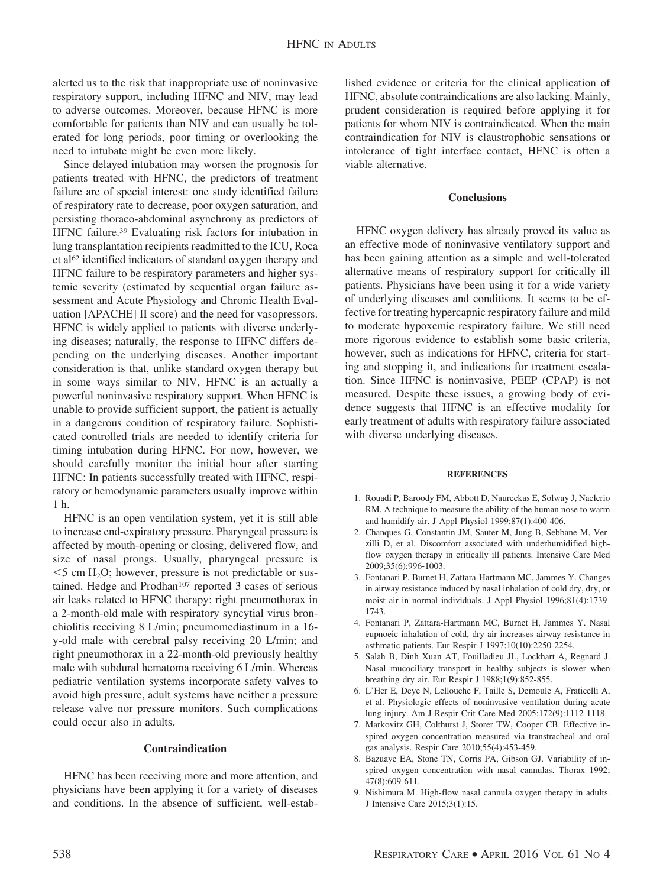alerted us to the risk that inappropriate use of noninvasive respiratory support, including HFNC and NIV, may lead to adverse outcomes. Moreover, because HFNC is more comfortable for patients than NIV and can usually be tolerated for long periods, poor timing or overlooking the need to intubate might be even more likely.

Since delayed intubation may worsen the prognosis for patients treated with HFNC, the predictors of treatment failure are of special interest: one study identified failure of respiratory rate to decrease, poor oxygen saturation, and persisting thoraco-abdominal asynchrony as predictors of HFNC failure.39 Evaluating risk factors for intubation in lung transplantation recipients readmitted to the ICU, Roca et al62 identified indicators of standard oxygen therapy and HFNC failure to be respiratory parameters and higher systemic severity (estimated by sequential organ failure assessment and Acute Physiology and Chronic Health Evaluation [APACHE] II score) and the need for vasopressors. HFNC is widely applied to patients with diverse underlying diseases; naturally, the response to HFNC differs depending on the underlying diseases. Another important consideration is that, unlike standard oxygen therapy but in some ways similar to NIV, HFNC is an actually a powerful noninvasive respiratory support. When HFNC is unable to provide sufficient support, the patient is actually in a dangerous condition of respiratory failure. Sophisticated controlled trials are needed to identify criteria for timing intubation during HFNC. For now, however, we should carefully monitor the initial hour after starting HFNC: In patients successfully treated with HFNC, respiratory or hemodynamic parameters usually improve within 1 h.

HFNC is an open ventilation system, yet it is still able to increase end-expiratory pressure. Pharyngeal pressure is affected by mouth-opening or closing, delivered flow, and size of nasal prongs. Usually, pharyngeal pressure is  $<$  5 cm H<sub>2</sub>O; however, pressure is not predictable or sustained. Hedge and Prodhan<sup>107</sup> reported 3 cases of serious air leaks related to HFNC therapy: right pneumothorax in a 2-month-old male with respiratory syncytial virus bronchiolitis receiving 8 L/min; pneumomediastinum in a 16 y-old male with cerebral palsy receiving 20 L/min; and right pneumothorax in a 22-month-old previously healthy male with subdural hematoma receiving 6 L/min. Whereas pediatric ventilation systems incorporate safety valves to avoid high pressure, adult systems have neither a pressure release valve nor pressure monitors. Such complications could occur also in adults.

# **Contraindication**

HFNC has been receiving more and more attention, and physicians have been applying it for a variety of diseases and conditions. In the absence of sufficient, well-established evidence or criteria for the clinical application of HFNC, absolute contraindications are also lacking. Mainly, prudent consideration is required before applying it for patients for whom NIV is contraindicated. When the main contraindication for NIV is claustrophobic sensations or intolerance of tight interface contact, HFNC is often a viable alternative.

# **Conclusions**

HFNC oxygen delivery has already proved its value as an effective mode of noninvasive ventilatory support and has been gaining attention as a simple and well-tolerated alternative means of respiratory support for critically ill patients. Physicians have been using it for a wide variety of underlying diseases and conditions. It seems to be effective for treating hypercapnic respiratory failure and mild to moderate hypoxemic respiratory failure. We still need more rigorous evidence to establish some basic criteria, however, such as indications for HFNC, criteria for starting and stopping it, and indications for treatment escalation. Since HFNC is noninvasive, PEEP (CPAP) is not measured. Despite these issues, a growing body of evidence suggests that HFNC is an effective modality for early treatment of adults with respiratory failure associated with diverse underlying diseases.

#### **REFERENCES**

- 1. Rouadi P, Baroody FM, Abbott D, Naureckas E, Solway J, Naclerio RM. A technique to measure the ability of the human nose to warm and humidify air. J Appl Physiol 1999;87(1):400-406.
- 2. Chanques G, Constantin JM, Sauter M, Jung B, Sebbane M, Verzilli D, et al. Discomfort associated with underhumidified highflow oxygen therapy in critically ill patients. Intensive Care Med 2009;35(6):996-1003.
- 3. Fontanari P, Burnet H, Zattara-Hartmann MC, Jammes Y. Changes in airway resistance induced by nasal inhalation of cold dry, dry, or moist air in normal individuals. J Appl Physiol 1996;81(4):1739- 1743.
- 4. Fontanari P, Zattara-Hartmann MC, Burnet H, Jammes Y. Nasal eupnoeic inhalation of cold, dry air increases airway resistance in asthmatic patients. Eur Respir J 1997;10(10):2250-2254.
- 5. Salah B, Dinh Xuan AT, Fouilladieu JL, Lockhart A, Regnard J. Nasal mucociliary transport in healthy subjects is slower when breathing dry air. Eur Respir J 1988;1(9):852-855.
- 6. L'Her E, Deye N, Lellouche F, Taille S, Demoule A, Fraticelli A, et al. Physiologic effects of noninvasive ventilation during acute lung injury. Am J Respir Crit Care Med 2005;172(9):1112-1118.
- 7. Markovitz GH, Colthurst J, Storer TW, Cooper CB. Effective inspired oxygen concentration measured via transtracheal and oral gas analysis. Respir Care 2010;55(4):453-459.
- 8. Bazuaye EA, Stone TN, Corris PA, Gibson GJ. Variability of inspired oxygen concentration with nasal cannulas. Thorax 1992; 47(8):609-611.
- 9. Nishimura M. High-flow nasal cannula oxygen therapy in adults. J Intensive Care 2015;3(1):15.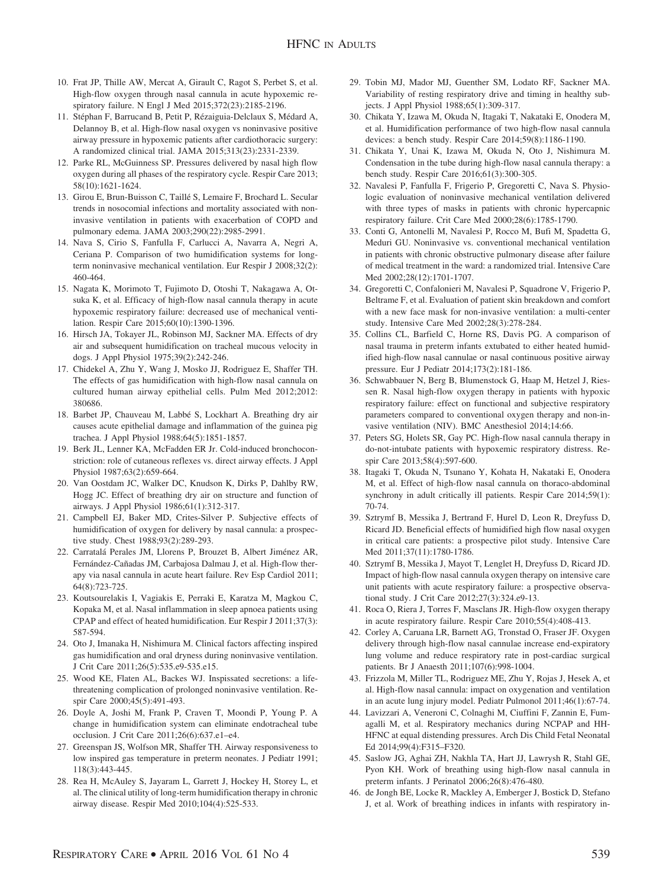- 10. Frat JP, Thille AW, Mercat A, Girault C, Ragot S, Perbet S, et al. High-flow oxygen through nasal cannula in acute hypoxemic respiratory failure. N Engl J Med 2015;372(23):2185-2196.
- 11. Stéphan F, Barrucand B, Petit P, Rézaiguia-Delclaux S, Médard A, Delannoy B, et al. High-flow nasal oxygen vs noninvasive positive airway pressure in hypoxemic patients after cardiothoracic surgery: A randomized clinical trial. JAMA 2015;313(23):2331-2339.
- 12. Parke RL, McGuinness SP. Pressures delivered by nasal high flow oxygen during all phases of the respiratory cycle. Respir Care 2013; 58(10):1621-1624.
- 13. Girou E, Brun-Buisson C, Taillé S, Lemaire F, Brochard L. Secular trends in nosocomial infections and mortality associated with noninvasive ventilation in patients with exacerbation of COPD and pulmonary edema. JAMA 2003;290(22):2985-2991.
- 14. Nava S, Cirio S, Fanfulla F, Carlucci A, Navarra A, Negri A, Ceriana P. Comparison of two humidification systems for longterm noninvasive mechanical ventilation. Eur Respir J 2008;32(2): 460-464.
- 15. Nagata K, Morimoto T, Fujimoto D, Otoshi T, Nakagawa A, Otsuka K, et al. Efficacy of high-flow nasal cannula therapy in acute hypoxemic respiratory failure: decreased use of mechanical ventilation. Respir Care 2015;60(10):1390-1396.
- 16. Hirsch JA, Tokayer JL, Robinson MJ, Sackner MA. Effects of dry air and subsequent humidification on tracheal mucous velocity in dogs. J Appl Physiol 1975;39(2):242-246.
- 17. Chidekel A, Zhu Y, Wang J, Mosko JJ, Rodriguez E, Shaffer TH. The effects of gas humidification with high-flow nasal cannula on cultured human airway epithelial cells. Pulm Med 2012;2012: 380686.
- 18. Barbet JP, Chauveau M, Labbe´ S, Lockhart A. Breathing dry air causes acute epithelial damage and inflammation of the guinea pig trachea. J Appl Physiol 1988;64(5):1851-1857.
- 19. Berk JL, Lenner KA, McFadden ER Jr. Cold-induced bronchoconstriction: role of cutaneous reflexes vs. direct airway effects. J Appl Physiol 1987;63(2):659-664.
- 20. Van Oostdam JC, Walker DC, Knudson K, Dirks P, Dahlby RW, Hogg JC. Effect of breathing dry air on structure and function of airways. J Appl Physiol 1986;61(1):312-317.
- 21. Campbell EJ, Baker MD, Crites-Silver P. Subjective effects of humidification of oxygen for delivery by nasal cannula: a prospective study. Chest 1988;93(2):289-293.
- 22. Carratalá Perales JM, Llorens P, Brouzet B, Albert Jiménez AR, Fernández-Cañadas JM, Carbajosa Dalmau J, et al. High-flow therapy via nasal cannula in acute heart failure. Rev Esp Cardiol 2011; 64(8):723-725.
- 23. Koutsourelakis I, Vagiakis E, Perraki E, Karatza M, Magkou C, Kopaka M, et al. Nasal inflammation in sleep apnoea patients using CPAP and effect of heated humidification. Eur Respir J 2011;37(3): 587-594.
- 24. Oto J, Imanaka H, Nishimura M. Clinical factors affecting inspired gas humidification and oral dryness during noninvasive ventilation. J Crit Care 2011;26(5):535.e9-535.e15.
- 25. Wood KE, Flaten AL, Backes WJ. Inspissated secretions: a lifethreatening complication of prolonged noninvasive ventilation. Respir Care 2000;45(5):491-493.
- 26. Doyle A, Joshi M, Frank P, Craven T, Moondi P, Young P. A change in humidification system can eliminate endotracheal tube occlusion. J Crit Care 2011;26(6):637.e1–e4.
- 27. Greenspan JS, Wolfson MR, Shaffer TH. Airway responsiveness to low inspired gas temperature in preterm neonates. J Pediatr 1991; 118(3):443-445.
- 28. Rea H, McAuley S, Jayaram L, Garrett J, Hockey H, Storey L, et al. The clinical utility of long-term humidification therapy in chronic airway disease. Respir Med 2010;104(4):525-533.
- 29. Tobin MJ, Mador MJ, Guenther SM, Lodato RF, Sackner MA. Variability of resting respiratory drive and timing in healthy subjects. J Appl Physiol 1988;65(1):309-317.
- 30. Chikata Y, Izawa M, Okuda N, Itagaki T, Nakataki E, Onodera M, et al. Humidification performance of two high-flow nasal cannula devices: a bench study. Respir Care 2014;59(8):1186-1190.
- 31. Chikata Y, Unai K, Izawa M, Okuda N, Oto J, Nishimura M. Condensation in the tube during high-flow nasal cannula therapy: a bench study. Respir Care 2016;61(3):300-305.
- 32. Navalesi P, Fanfulla F, Frigerio P, Gregoretti C, Nava S. Physiologic evaluation of noninvasive mechanical ventilation delivered with three types of masks in patients with chronic hypercapnic respiratory failure. Crit Care Med 2000;28(6):1785-1790.
- 33. Conti G, Antonelli M, Navalesi P, Rocco M, Bufi M, Spadetta G, Meduri GU. Noninvasive vs. conventional mechanical ventilation in patients with chronic obstructive pulmonary disease after failure of medical treatment in the ward: a randomized trial. Intensive Care Med 2002;28(12):1701-1707.
- 34. Gregoretti C, Confalonieri M, Navalesi P, Squadrone V, Frigerio P, Beltrame F, et al. Evaluation of patient skin breakdown and comfort with a new face mask for non-invasive ventilation: a multi-center study. Intensive Care Med 2002;28(3):278-284.
- 35. Collins CL, Barfield C, Horne RS, Davis PG. A comparison of nasal trauma in preterm infants extubated to either heated humidified high-flow nasal cannulae or nasal continuous positive airway pressure. Eur J Pediatr 2014;173(2):181-186.
- 36. Schwabbauer N, Berg B, Blumenstock G, Haap M, Hetzel J, Riessen R. Nasal high-flow oxygen therapy in patients with hypoxic respiratory failure: effect on functional and subjective respiratory parameters compared to conventional oxygen therapy and non-invasive ventilation (NIV). BMC Anesthesiol 2014;14:66.
- 37. Peters SG, Holets SR, Gay PC. High-flow nasal cannula therapy in do-not-intubate patients with hypoxemic respiratory distress. Respir Care 2013;58(4):597-600.
- 38. Itagaki T, Okuda N, Tsunano Y, Kohata H, Nakataki E, Onodera M, et al. Effect of high-flow nasal cannula on thoraco-abdominal synchrony in adult critically ill patients. Respir Care 2014;59(1): 70-74.
- 39. Sztrymf B, Messika J, Bertrand F, Hurel D, Leon R, Dreyfuss D, Ricard JD. Beneficial effects of humidified high flow nasal oxygen in critical care patients: a prospective pilot study. Intensive Care Med 2011;37(11):1780-1786.
- 40. Sztrymf B, Messika J, Mayot T, Lenglet H, Dreyfuss D, Ricard JD. Impact of high-flow nasal cannula oxygen therapy on intensive care unit patients with acute respiratory failure: a prospective observational study. J Crit Care 2012;27(3):324.e9-13.
- 41. Roca O, Riera J, Torres F, Masclans JR. High-flow oxygen therapy in acute respiratory failure. Respir Care 2010;55(4):408-413.
- 42. Corley A, Caruana LR, Barnett AG, Tronstad O, Fraser JF. Oxygen delivery through high-flow nasal cannulae increase end-expiratory lung volume and reduce respiratory rate in post-cardiac surgical patients. Br J Anaesth 2011;107(6):998-1004.
- 43. Frizzola M, Miller TL, Rodriguez ME, Zhu Y, Rojas J, Hesek A, et al. High-flow nasal cannula: impact on oxygenation and ventilation in an acute lung injury model. Pediatr Pulmonol 2011;46(1):67-74.
- 44. Lavizzari A, Veneroni C, Colnaghi M, Ciuffini F, Zannin E, Fumagalli M, et al. Respiratory mechanics during NCPAP and HH-HFNC at equal distending pressures. Arch Dis Child Fetal Neonatal Ed 2014;99(4):F315–F320.
- 45. Saslow JG, Aghai ZH, Nakhla TA, Hart JJ, Lawrysh R, Stahl GE, Pyon KH. Work of breathing using high-flow nasal cannula in preterm infants. J Perinatol 2006;26(8):476-480.
- 46. de Jongh BE, Locke R, Mackley A, Emberger J, Bostick D, Stefano J, et al. Work of breathing indices in infants with respiratory in-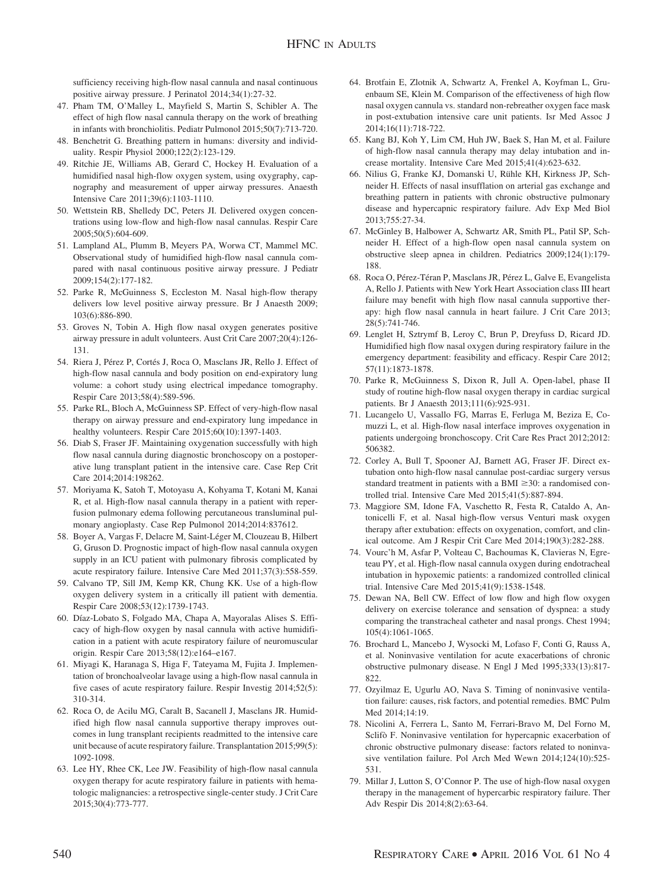sufficiency receiving high-flow nasal cannula and nasal continuous positive airway pressure. J Perinatol 2014;34(1):27-32.

- 47. Pham TM, O'Malley L, Mayfield S, Martin S, Schibler A. The effect of high flow nasal cannula therapy on the work of breathing in infants with bronchiolitis. Pediatr Pulmonol 2015;50(7):713-720.
- 48. Benchetrit G. Breathing pattern in humans: diversity and individuality. Respir Physiol 2000;122(2):123-129.
- 49. Ritchie JE, Williams AB, Gerard C, Hockey H. Evaluation of a humidified nasal high-flow oxygen system, using oxygraphy, capnography and measurement of upper airway pressures. Anaesth Intensive Care 2011;39(6):1103-1110.
- 50. Wettstein RB, Shelledy DC, Peters JI. Delivered oxygen concentrations using low-flow and high-flow nasal cannulas. Respir Care 2005;50(5):604-609.
- 51. Lampland AL, Plumm B, Meyers PA, Worwa CT, Mammel MC. Observational study of humidified high-flow nasal cannula compared with nasal continuous positive airway pressure. J Pediatr 2009;154(2):177-182.
- 52. Parke R, McGuinness S, Eccleston M. Nasal high-flow therapy delivers low level positive airway pressure. Br J Anaesth 2009; 103(6):886-890.
- 53. Groves N, Tobin A. High flow nasal oxygen generates positive airway pressure in adult volunteers. Aust Crit Care 2007;20(4):126- 131.
- 54. Riera J, Pérez P, Cortés J, Roca O, Masclans JR, Rello J. Effect of high-flow nasal cannula and body position on end-expiratory lung volume: a cohort study using electrical impedance tomography. Respir Care 2013;58(4):589-596.
- 55. Parke RL, Bloch A, McGuinness SP. Effect of very-high-flow nasal therapy on airway pressure and end-expiratory lung impedance in healthy volunteers. Respir Care 2015;60(10):1397-1403.
- 56. Diab S, Fraser JF. Maintaining oxygenation successfully with high flow nasal cannula during diagnostic bronchoscopy on a postoperative lung transplant patient in the intensive care. Case Rep Crit Care 2014;2014:198262.
- 57. Moriyama K, Satoh T, Motoyasu A, Kohyama T, Kotani M, Kanai R, et al. High-flow nasal cannula therapy in a patient with reperfusion pulmonary edema following percutaneous transluminal pulmonary angioplasty. Case Rep Pulmonol 2014;2014:837612.
- 58. Boyer A, Vargas F, Delacre M, Saint-Léger M, Clouzeau B, Hilbert G, Gruson D. Prognostic impact of high-flow nasal cannula oxygen supply in an ICU patient with pulmonary fibrosis complicated by acute respiratory failure. Intensive Care Med 2011;37(3):558-559.
- 59. Calvano TP, Sill JM, Kemp KR, Chung KK. Use of a high-flow oxygen delivery system in a critically ill patient with dementia. Respir Care 2008;53(12):1739-1743.
- 60. Díaz-Lobato S, Folgado MA, Chapa A, Mayoralas Alises S. Efficacy of high-flow oxygen by nasal cannula with active humidification in a patient with acute respiratory failure of neuromuscular origin. Respir Care 2013;58(12):e164–e167.
- 61. Miyagi K, Haranaga S, Higa F, Tateyama M, Fujita J. Implementation of bronchoalveolar lavage using a high-flow nasal cannula in five cases of acute respiratory failure. Respir Investig 2014;52(5): 310-314.
- 62. Roca O, de Acilu MG, Caralt B, Sacanell J, Masclans JR. Humidified high flow nasal cannula supportive therapy improves outcomes in lung transplant recipients readmitted to the intensive care unit because of acute respiratory failure. Transplantation 2015;99(5): 1092-1098.
- 63. Lee HY, Rhee CK, Lee JW. Feasibility of high-flow nasal cannula oxygen therapy for acute respiratory failure in patients with hematologic malignancies: a retrospective single-center study. J Crit Care 2015;30(4):773-777.
- 64. Brotfain E, Zlotnik A, Schwartz A, Frenkel A, Koyfman L, Gruenbaum SE, Klein M. Comparison of the effectiveness of high flow nasal oxygen cannula vs. standard non-rebreather oxygen face mask in post-extubation intensive care unit patients. Isr Med Assoc J 2014;16(11):718-722.
- 65. Kang BJ, Koh Y, Lim CM, Huh JW, Baek S, Han M, et al. Failure of high-flow nasal cannula therapy may delay intubation and increase mortality. Intensive Care Med 2015;41(4):623-632.
- 66. Nilius G, Franke KJ, Domanski U, Rühle KH, Kirkness JP, Schneider H. Effects of nasal insufflation on arterial gas exchange and breathing pattern in patients with chronic obstructive pulmonary disease and hypercapnic respiratory failure. Adv Exp Med Biol 2013;755:27-34.
- 67. McGinley B, Halbower A, Schwartz AR, Smith PL, Patil SP, Schneider H. Effect of a high-flow open nasal cannula system on obstructive sleep apnea in children. Pediatrics 2009;124(1):179- 188.
- 68. Roca O, Pérez-Téran P, Masclans JR, Pérez L, Galve E, Evangelista A, Rello J. Patients with New York Heart Association class III heart failure may benefit with high flow nasal cannula supportive therapy: high flow nasal cannula in heart failure. J Crit Care 2013; 28(5):741-746.
- 69. Lenglet H, Sztrymf B, Leroy C, Brun P, Dreyfuss D, Ricard JD. Humidified high flow nasal oxygen during respiratory failure in the emergency department: feasibility and efficacy. Respir Care 2012; 57(11):1873-1878.
- 70. Parke R, McGuinness S, Dixon R, Jull A. Open-label, phase II study of routine high-flow nasal oxygen therapy in cardiac surgical patients. Br J Anaesth 2013;111(6):925-931.
- 71. Lucangelo U, Vassallo FG, Marras E, Ferluga M, Beziza E, Comuzzi L, et al. High-flow nasal interface improves oxygenation in patients undergoing bronchoscopy. Crit Care Res Pract 2012;2012: 506382.
- 72. Corley A, Bull T, Spooner AJ, Barnett AG, Fraser JF. Direct extubation onto high-flow nasal cannulae post-cardiac surgery versus standard treatment in patients with a BMI  $\geq$ 30: a randomised controlled trial. Intensive Care Med 2015;41(5):887-894.
- 73. Maggiore SM, Idone FA, Vaschetto R, Festa R, Cataldo A, Antonicelli F, et al. Nasal high-flow versus Venturi mask oxygen therapy after extubation: effects on oxygenation, comfort, and clinical outcome. Am J Respir Crit Care Med 2014;190(3):282-288.
- 74. Vourc'h M, Asfar P, Volteau C, Bachoumas K, Clavieras N, Egreteau PY, et al. High-flow nasal cannula oxygen during endotracheal intubation in hypoxemic patients: a randomized controlled clinical trial. Intensive Care Med 2015;41(9):1538-1548.
- 75. Dewan NA, Bell CW. Effect of low flow and high flow oxygen delivery on exercise tolerance and sensation of dyspnea: a study comparing the transtracheal catheter and nasal prongs. Chest 1994; 105(4):1061-1065.
- 76. Brochard L, Mancebo J, Wysocki M, Lofaso F, Conti G, Rauss A, et al. Noninvasive ventilation for acute exacerbations of chronic obstructive pulmonary disease. N Engl J Med 1995;333(13):817- 822.
- 77. Ozyilmaz E, Ugurlu AO, Nava S. Timing of noninvasive ventilation failure: causes, risk factors, and potential remedies. BMC Pulm Med 2014;14:19.
- 78. Nicolini A, Ferrera L, Santo M, Ferrari-Bravo M, Del Forno M, Sclifò F. Noninvasive ventilation for hypercapnic exacerbation of chronic obstructive pulmonary disease: factors related to noninvasive ventilation failure. Pol Arch Med Wewn 2014;124(10):525- 531.
- 79. Millar J, Lutton S, O'Connor P. The use of high-flow nasal oxygen therapy in the management of hypercarbic respiratory failure. Ther Adv Respir Dis 2014;8(2):63-64.